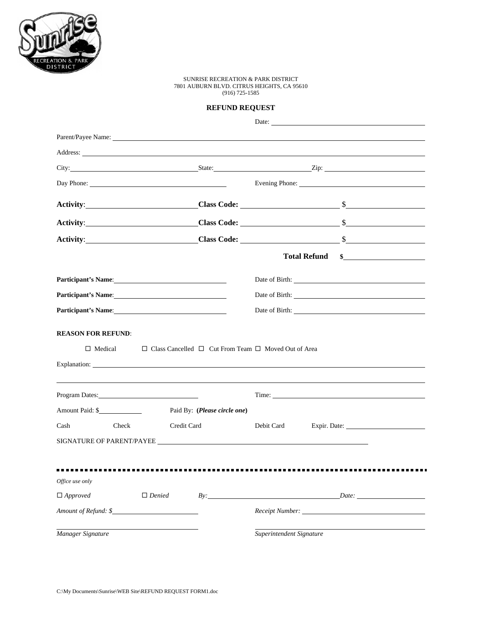

## SUNRISE RECREATION & PARK DISTRICT 7801 AUBURN BLVD. CITRUS HEIGHTS, CA 95610 (916) 725-1585

## **REFUND REQUEST**

|                                                                                                                                                                                                                                |               |                              |                                                                                                                                                                                                                               | Date:                                                                                                                                                                                                                                |  |
|--------------------------------------------------------------------------------------------------------------------------------------------------------------------------------------------------------------------------------|---------------|------------------------------|-------------------------------------------------------------------------------------------------------------------------------------------------------------------------------------------------------------------------------|--------------------------------------------------------------------------------------------------------------------------------------------------------------------------------------------------------------------------------------|--|
|                                                                                                                                                                                                                                |               |                              |                                                                                                                                                                                                                               |                                                                                                                                                                                                                                      |  |
|                                                                                                                                                                                                                                |               |                              |                                                                                                                                                                                                                               | Address: <u>The Community of the Community of the Community of the Community of the Community of the Community of the Community of the Community of the Community of the Community of the Community of the Community of the Comm</u> |  |
|                                                                                                                                                                                                                                |               |                              |                                                                                                                                                                                                                               | City: <u>City:</u> City: City: City: City: City: City: City: City: City: City: City: City: City: City: City: City: City: City: City: City: City: City: City: City: City: City: City: City: City: City: City: City: City: City: City  |  |
| Day Phone: 2008 and 2008 and 2008 and 2008 and 2008 and 2008 and 2008 and 2008 and 2008 and 2008 and 2008 and 2008 and 2008 and 2008 and 2008 and 2008 and 2008 and 2008 and 2008 and 2008 and 2008 and 2008 and 2008 and 2008 |               |                              |                                                                                                                                                                                                                               | Evening Phone: <u>and the contract of the contract of the contract of the contract of the contract of the contract of</u>                                                                                                            |  |
|                                                                                                                                                                                                                                |               |                              |                                                                                                                                                                                                                               | Class Code: <u>Class Code:</u>                                                                                                                                                                                                       |  |
|                                                                                                                                                                                                                                |               |                              |                                                                                                                                                                                                                               | Activity: Class Code: Class Code: Sammen Class Code: Class Code: Sammen Class Code: Class Code: Sammen Class Code: Sammen Class Code: Sammen Class Code: Sammen Class Code: Sammen Class Code: Sammen Class Code: Sammen Class       |  |
|                                                                                                                                                                                                                                |               |                              |                                                                                                                                                                                                                               | Activity: Class Code: Sammun Class Code: Sammun Class Code: Sammun Class Code: Sammun Class Code: Sammun Class Code: Sammun Class Code: Sammun Class Code: Sammun Class Code: Sammun Class Code: Sammun Class Code: Sammun Cla       |  |
|                                                                                                                                                                                                                                |               |                              |                                                                                                                                                                                                                               | <b>Total Refund</b><br>$\frac{1}{2}$                                                                                                                                                                                                 |  |
| Participant's Name: 1988                                                                                                                                                                                                       |               |                              |                                                                                                                                                                                                                               |                                                                                                                                                                                                                                      |  |
| Participant's Name: 1988                                                                                                                                                                                                       |               |                              | Date of Birth: 2008 and 2008 and 2008 and 2008 and 2008 and 2008 and 2008 and 2008 and 2008 and 2008 and 2008 and 2008 and 2008 and 2008 and 2008 and 2008 and 2008 and 2008 and 2008 and 2008 and 2008 and 2008 and 2008 and |                                                                                                                                                                                                                                      |  |
| Participant's Name: 1988                                                                                                                                                                                                       |               |                              |                                                                                                                                                                                                                               |                                                                                                                                                                                                                                      |  |
| $\Box$ Medical                                                                                                                                                                                                                 |               |                              | $\Box$ Class Cancelled $\Box$ Cut From Team $\Box$ Moved Out of Area                                                                                                                                                          |                                                                                                                                                                                                                                      |  |
| Program Dates:                                                                                                                                                                                                                 |               |                              |                                                                                                                                                                                                                               | Time:                                                                                                                                                                                                                                |  |
| Amount Paid: \$                                                                                                                                                                                                                |               | Paid By: (Please circle one) |                                                                                                                                                                                                                               |                                                                                                                                                                                                                                      |  |
| Cash<br>Check                                                                                                                                                                                                                  | Credit Card   |                              | Debit Card                                                                                                                                                                                                                    |                                                                                                                                                                                                                                      |  |
| SIGNATURE OF PARENT/PAYEE                                                                                                                                                                                                      |               |                              |                                                                                                                                                                                                                               |                                                                                                                                                                                                                                      |  |
|                                                                                                                                                                                                                                |               |                              |                                                                                                                                                                                                                               |                                                                                                                                                                                                                                      |  |
| Office use only                                                                                                                                                                                                                |               |                              |                                                                                                                                                                                                                               |                                                                                                                                                                                                                                      |  |
| $\Box$ Approved                                                                                                                                                                                                                | $\Box$ Denied |                              |                                                                                                                                                                                                                               | $By:$ Date:                                                                                                                                                                                                                          |  |
| Amount of Refund: \$                                                                                                                                                                                                           |               |                              |                                                                                                                                                                                                                               |                                                                                                                                                                                                                                      |  |
| Manager Signature                                                                                                                                                                                                              |               |                              | Superintendent Signature                                                                                                                                                                                                      |                                                                                                                                                                                                                                      |  |